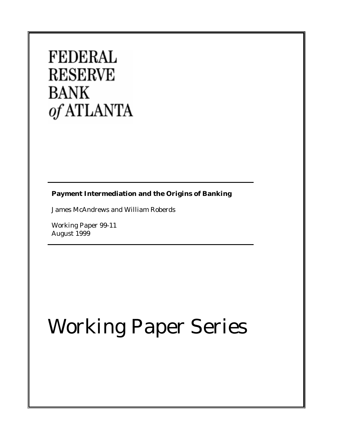## **FEDERAL RESERVE BANK** of ATLANTA

**Payment Intermediation and the Origins of Banking**

James McAndrews and William Roberds

Working Paper 99-11 August 1999

# Working Paper Series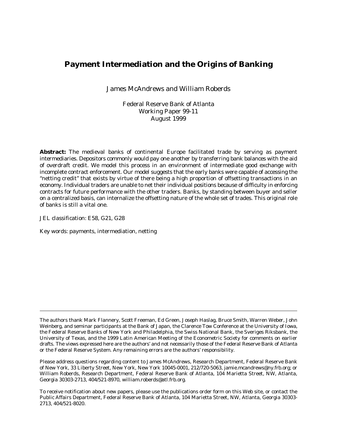James McAndrews and William Roberds

Federal Reserve Bank of Atlanta Working Paper 99-11 August 1999

**Abstract:** The medieval banks of continental Europe facilitated trade by serving as payment intermediaries. Depositors commonly would pay one another by transferring bank balances with the aid of overdraft credit. We model this process in an environment of intermediate good exchange with incomplete contract enforcement. Our model suggests that the early banks were capable of accessing the "netting credit" that exists by virtue of there being a high proportion of offsetting transactions in an economy. Individual traders are unable to net their individual positions because of difficulty in enforcing contracts for future performance with the other traders. Banks, by standing between buyer and seller on a centralized basis, can internalize the offsetting nature of the whole set of trades. This original role of banks is still a vital one.

JEL classification: E58, G21, G28

Key words: payments, intermediation, netting

The authors thank Mark Flannery, Scott Freeman, Ed Green, Joseph Haslag, Bruce Smith, Warren Weber, John Weinberg, and seminar participants at the Bank of Japan, the Clarence Tow Conference at the University of Iowa, the Federal Reserve Banks of New York and Philadelphia, the Swiss National Bank, the Sveriges Riksbank, the University of Texas, and the 1999 Latin American Meeting of the Econometric Society for comments on earlier drafts. The views expressed here are the authors' and not necessarily those of the Federal Reserve Bank of Atlanta or the Federal Reserve System. Any remaining errors are the authors' responsibility.

Please address questions regarding content to James McAndrews, Research Department, Federal Reserve Bank of New York, 33 Liberty Street, New York, New York 10045-0001, 212/720-5063, jamie.mcandrews@ny.frb.org; or William Roberds, Research Department, Federal Reserve Bank of Atlanta, 104 Marietta Street, NW, Atlanta, Georgia 30303-2713, 404/521-8970, william.roberds@atl.frb.org.

To receive notification about new papers, please use the publications order form on this Web site, or contact the Public Affairs Department, Federal Reserve Bank of Atlanta, 104 Marietta Street, NW, Atlanta, Georgia 30303- 2713, 404/521-8020.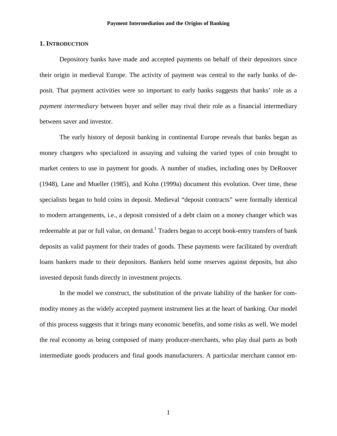#### **1. INTRODUCTION**

Depository banks have made and accepted payments on behalf of their depositors since their origin in medieval Europe. The activity of payment was central to the early banks of deposit. That payment activities were so important to early banks suggests that banks' role as a *payment intermediary* between buyer and seller may rival their role as a financial intermediary between saver and investor.

The early history of deposit banking in continental Europe reveals that banks began as money changers who specialized in assaying and valuing the varied types of coin brought to market centers to use in payment for goods. A number of studies, including ones by DeRoover (1948), Lane and Mueller (1985), and Kohn (1999a) document this evolution. Over time, these specialists began to hold coins in deposit. Medieval "deposit contracts" were formally identical to modern arrangements, i.e., a deposit consisted of a debt claim on a money changer which was redeemable at par or full value, on demand. $^{\rm 1}$  Traders began to accept book-entry transfers of bank deposits as valid payment for their trades of goods. These payments were facilitated by overdraft loans bankers made to their depositors. Bankers held some reserves against deposits, but also invested deposit funds directly in investment projects.

In the model we construct, the substitution of the private liability of the banker for commodity money as the widely accepted payment instrument lies at the heart of banking. Our model of this process suggests that it brings many economic benefits, and some risks as well. We model the real economy as being composed of many producer-merchants, who play dual parts as both intermediate goods producers and final goods manufacturers. A particular merchant cannot em-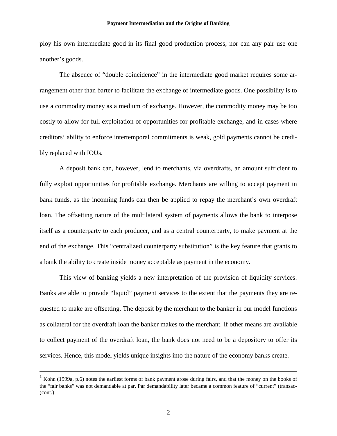ploy his own intermediate good in its final good production process, nor can any pair use one another's goods.

The absence of "double coincidence" in the intermediate good market requires some arrangement other than barter to facilitate the exchange of intermediate goods. One possibility is to use a commodity money as a medium of exchange. However, the commodity money may be too costly to allow for full exploitation of opportunities for profitable exchange, and in cases where creditors' ability to enforce intertemporal commitments is weak, gold payments cannot be credibly replaced with IOUs.

A deposit bank can, however, lend to merchants, via overdrafts, an amount sufficient to fully exploit opportunities for profitable exchange. Merchants are willing to accept payment in bank funds, as the incoming funds can then be applied to repay the merchant's own overdraft loan. The offsetting nature of the multilateral system of payments allows the bank to interpose itself as a counterparty to each producer, and as a central counterparty, to make payment at the end of the exchange. This "centralized counterparty substitution" is the key feature that grants to a bank the ability to create inside money acceptable as payment in the economy.

This view of banking yields a new interpretation of the provision of liquidity services. Banks are able to provide "liquid" payment services to the extent that the payments they are requested to make are offsetting. The deposit by the merchant to the banker in our model functions as collateral for the overdraft loan the banker makes to the merchant. If other means are available to collect payment of the overdraft loan, the bank does not need to be a depository to offer its services. Hence, this model yields unique insights into the nature of the economy banks create.

<sup>&</sup>lt;sup>1</sup> Kohn (1999a, p.6) notes the earliest forms of bank payment arose during fairs, and that the money on the books of the "fair banks" was not demandable at par. Par demandability later became a common feature of "current" (transac- (cont.)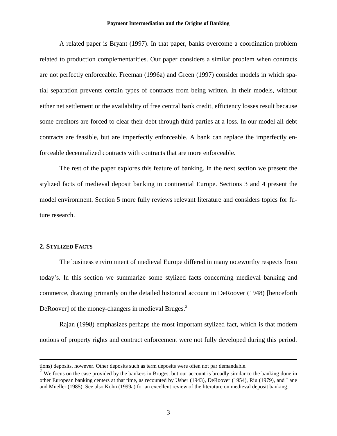A related paper is Bryant (1997). In that paper, banks overcome a coordination problem related to production complementarities. Our paper considers a similar problem when contracts are not perfectly enforceable. Freeman (1996a) and Green (1997) consider models in which spatial separation prevents certain types of contracts from being written. In their models, without either net settlement or the availability of free central bank credit, efficiency losses result because some creditors are forced to clear their debt through third parties at a loss. In our model all debt contracts are feasible, but are imperfectly enforceable. A bank can replace the imperfectly enforceable decentralized contracts with contracts that are more enforceable.

The rest of the paper explores this feature of banking. In the next section we present the stylized facts of medieval deposit banking in continental Europe. Sections 3 and 4 present the model environment. Section 5 more fully reviews relevant literature and considers topics for future research.

#### **2. STYLIZED FACTS**

 $\overline{a}$ 

The business environment of medieval Europe differed in many noteworthy respects from today's. In this section we summarize some stylized facts concerning medieval banking and commerce, drawing primarily on the detailed historical account in DeRoover (1948) [henceforth DeRoover] of the money-changers in medieval Bruges.<sup>2</sup>

Rajan (1998) emphasizes perhaps the most important stylized fact, which is that modern notions of property rights and contract enforcement were not fully developed during this period.

tions) deposits, however. Other deposits such as term deposits were often not par demandable.

 $2$  We focus on the case provided by the bankers in Bruges, but our account is broadly similar to the banking done in other European banking centers at that time, as recounted by Usher (1943), DeRoover (1954), Riu (1979), and Lane and Mueller (1985). See also Kohn (1999a) for an excellent review of the literature on medieval deposit banking.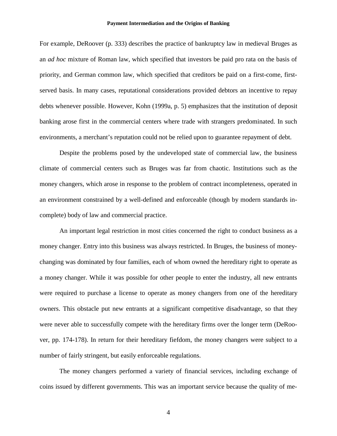For example, DeRoover (p. 333) describes the practice of bankruptcy law in medieval Bruges as an *ad hoc* mixture of Roman law, which specified that investors be paid pro rata on the basis of priority, and German common law, which specified that creditors be paid on a first-come, firstserved basis. In many cases, reputational considerations provided debtors an incentive to repay debts whenever possible. However, Kohn (1999a, p. 5) emphasizes that the institution of deposit banking arose first in the commercial centers where trade with strangers predominated. In such environments, a merchant's reputation could not be relied upon to guarantee repayment of debt.

Despite the problems posed by the undeveloped state of commercial law, the business climate of commercial centers such as Bruges was far from chaotic. Institutions such as the money changers, which arose in response to the problem of contract incompleteness, operated in an environment constrained by a well-defined and enforceable (though by modern standards incomplete) body of law and commercial practice.

An important legal restriction in most cities concerned the right to conduct business as a money changer. Entry into this business was always restricted. In Bruges, the business of moneychanging was dominated by four families, each of whom owned the hereditary right to operate as a money changer. While it was possible for other people to enter the industry, all new entrants were required to purchase a license to operate as money changers from one of the hereditary owners. This obstacle put new entrants at a significant competitive disadvantage, so that they were never able to successfully compete with the hereditary firms over the longer term (DeRoover, pp. 174-178). In return for their hereditary fiefdom, the money changers were subject to a number of fairly stringent, but easily enforceable regulations.

The money changers performed a variety of financial services, including exchange of coins issued by different governments. This was an important service because the quality of me-

4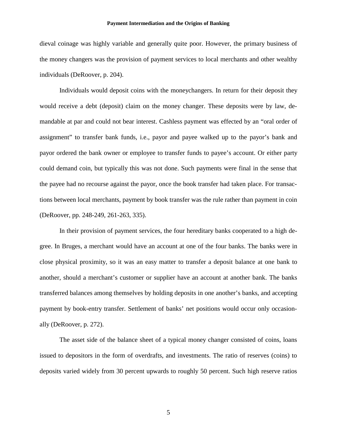dieval coinage was highly variable and generally quite poor. However, the primary business of the money changers was the provision of payment services to local merchants and other wealthy individuals (DeRoover, p. 204).

Individuals would deposit coins with the moneychangers. In return for their deposit they would receive a debt (deposit) claim on the money changer. These deposits were by law, demandable at par and could not bear interest. Cashless payment was effected by an "oral order of assignment" to transfer bank funds, i.e., payor and payee walked up to the payor's bank and payor ordered the bank owner or employee to transfer funds to payee's account. Or either party could demand coin, but typically this was not done. Such payments were final in the sense that the payee had no recourse against the payor, once the book transfer had taken place. For transactions between local merchants, payment by book transfer was the rule rather than payment in coin (DeRoover, pp. 248-249, 261-263, 335).

In their provision of payment services, the four hereditary banks cooperated to a high degree. In Bruges, a merchant would have an account at one of the four banks. The banks were in close physical proximity, so it was an easy matter to transfer a deposit balance at one bank to another, should a merchant's customer or supplier have an account at another bank. The banks transferred balances among themselves by holding deposits in one another's banks, and accepting payment by book-entry transfer. Settlement of banks' net positions would occur only occasionally (DeRoover, p. 272).

The asset side of the balance sheet of a typical money changer consisted of coins, loans issued to depositors in the form of overdrafts, and investments. The ratio of reserves (coins) to deposits varied widely from 30 percent upwards to roughly 50 percent. Such high reserve ratios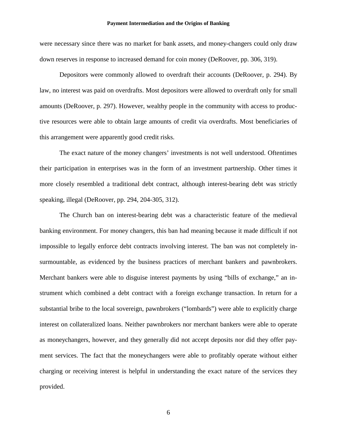were necessary since there was no market for bank assets, and money-changers could only draw down reserves in response to increased demand for coin money (DeRoover, pp. 306, 319).

Depositors were commonly allowed to overdraft their accounts (DeRoover, p. 294). By law, no interest was paid on overdrafts. Most depositors were allowed to overdraft only for small amounts (DeRoover, p. 297). However, wealthy people in the community with access to productive resources were able to obtain large amounts of credit via overdrafts. Most beneficiaries of this arrangement were apparently good credit risks.

The exact nature of the money changers' investments is not well understood. Oftentimes their participation in enterprises was in the form of an investment partnership. Other times it more closely resembled a traditional debt contract, although interest-bearing debt was strictly speaking, illegal (DeRoover, pp. 294, 204-305, 312).

The Church ban on interest-bearing debt was a characteristic feature of the medieval banking environment. For money changers, this ban had meaning because it made difficult if not impossible to legally enforce debt contracts involving interest. The ban was not completely insurmountable, as evidenced by the business practices of merchant bankers and pawnbrokers. Merchant bankers were able to disguise interest payments by using "bills of exchange," an instrument which combined a debt contract with a foreign exchange transaction. In return for a substantial bribe to the local sovereign, pawnbrokers ("lombards") were able to explicitly charge interest on collateralized loans. Neither pawnbrokers nor merchant bankers were able to operate as moneychangers, however, and they generally did not accept deposits nor did they offer payment services. The fact that the moneychangers were able to profitably operate without either charging or receiving interest is helpful in understanding the exact nature of the services they provided.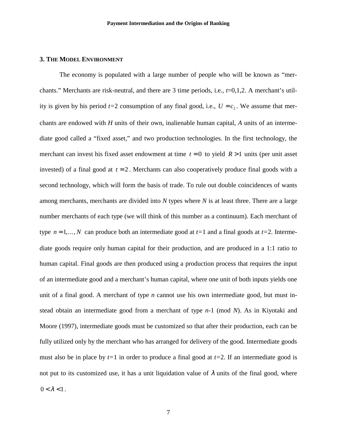#### **3. THE MODEL ENVIRONMENT**

The economy is populated with a large number of people who will be known as "merchants." Merchants are risk-neutral, and there are 3 time periods, i.e., *t*=0,1,2. A merchant's utility is given by his period  $t=2$  consumption of any final good, i.e.,  $U = c<sub>2</sub>$ . We assume that merchants are endowed with *H* units of their own, inalienable human capital, *A* units of an intermediate good called a "fixed asset," and two production technologies. In the first technology, the merchant can invest his fixed asset endowment at time  $t = 0$  to yield  $R > 1$  units (per unit asset invested) of a final good at  $t = 2$ . Merchants can also cooperatively produce final goods with a second technology, which will form the basis of trade. To rule out double coincidences of wants among merchants, merchants are divided into *N* types where *N* is at least three. There are a large number merchants of each type (we will think of this number as a continuum). Each merchant of type  $n = 1,..., N$  can produce both an intermediate good at  $t=1$  and a final goods at  $t=2$ . Intermediate goods require only human capital for their production, and are produced in a 1:1 ratio to human capital. Final goods are then produced using a production process that requires the input of an intermediate good and a merchant's human capital, where one unit of both inputs yields one unit of a final good. A merchant of type *n* cannot use his own intermediate good, but must instead obtain an intermediate good from a merchant of type *n-*1 (mod *N*). As in Kiyotaki and Moore (1997), intermediate goods must be customized so that after their production, each can be fully utilized only by the merchant who has arranged for delivery of the good. Intermediate goods must also be in place by *t=*1 in order to produce a final good at *t=*2. If an intermediate good is not put to its customized use, it has a unit liquidation value of  $\lambda$  units of the final good, where  $0 < \lambda < 1$ .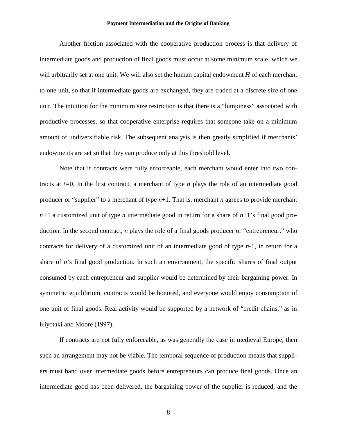Another friction associated with the cooperative production process is that delivery of intermediate goods and production of final goods must occur at some minimum scale, which we will arbitrarily set at one unit. We will also set the human capital endowment *H* of each merchant to one unit, so that if intermediate goods are exchanged, they are traded at a discrete size of one unit. The intuition for the minimum size restriction is that there is a "lumpiness" associated with productive processes, so that cooperative enterprise requires that someone take on a minimum amount of undiversifiable risk. The subsequent analysis is then greatly simplified if merchants' endowments are set so that they can produce only at this threshold level.

Note that if contracts were fully enforceable, each merchant would enter into two contracts at *t=*0. In the first contract, a merchant of type *n* plays the role of an intermediate good producer or "supplier" to a merchant of type *n*+1. That is, merchant *n* agrees to provide merchant *n+*1 a customized unit of type *n* intermediate good in return for a share of *n*+1's final good production. In the second contract, *n* plays the role of a final goods producer or "entrepreneur," who contracts for delivery of a customized unit of an intermediate good of type *n*-1, in return for a share of *n*'s final good production. In such an environment, the specific shares of final output consumed by each entrepreneur and supplier would be determined by their bargaining power. In symmetric equilibrium, contracts would be honored, and everyone would enjoy consumption of one unit of final goods. Real activity would be supported by a network of "credit chains," as in Kiyotaki and Moore (1997).

If contracts are not fully enforceable, as was generally the case in medieval Europe, then such an arrangement may not be viable. The temporal sequence of production means that suppliers must hand over intermediate goods before entrepreneurs can produce final goods. Once an intermediate good has been delivered, the bargaining power of the supplier is reduced, and the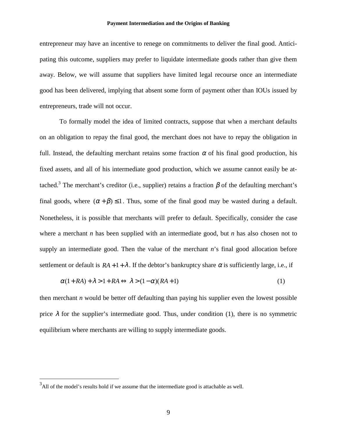entrepreneur may have an incentive to renege on commitments to deliver the final good. Anticipating this outcome, suppliers may prefer to liquidate intermediate goods rather than give them away. Below, we will assume that suppliers have limited legal recourse once an intermediate good has been delivered, implying that absent some form of payment other than IOUs issued by entrepreneurs, trade will not occur.

To formally model the idea of limited contracts, suppose that when a merchant defaults on an obligation to repay the final good, the merchant does not have to repay the obligation in full. Instead, the defaulting merchant retains some fraction  $\alpha$  of his final good production, his fixed assets, and all of his intermediate good production, which we assume cannot easily be attached.<sup>3</sup> The merchant's creditor (i.e., supplier) retains a fraction  $\beta$  of the defaulting merchant's final goods, where  $(\alpha + \beta) \le 1$ . Thus, some of the final good may be wasted during a default. Nonetheless, it is possible that merchants will prefer to default. Specifically, consider the case where a merchant *n* has been supplied with an intermediate good, but *n* has also chosen not to supply an intermediate good. Then the value of the merchant *n*'s final good allocation before settlement or default is  $RA + 1 + \lambda$ . If the debtor's bankruptcy share  $\alpha$  is sufficiently large, i.e., if

$$
\alpha(1+RA) + \lambda > 1 + RA \Leftrightarrow \lambda > (1-\alpha)(RA+1) \tag{1}
$$

then merchant *n* would be better off defaulting than paying his supplier even the lowest possible price  $\lambda$  for the supplier's intermediate good. Thus, under condition (1), there is no symmetric equilibrium where merchants are willing to supply intermediate goods.

<sup>&</sup>lt;sup>3</sup>All of the model's results hold if we assume that the intermediate good is attachable as well.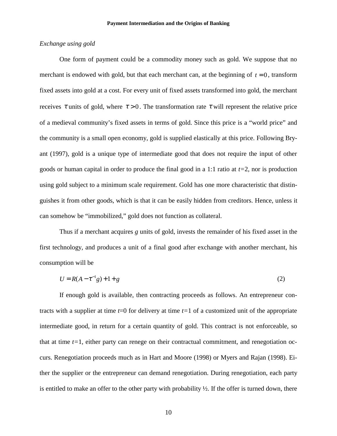#### *Exchange using gold*

One form of payment could be a commodity money such as gold. We suppose that no merchant is endowed with gold, but that each merchant can, at the beginning of  $t = 0$ , transform fixed assets into gold at a cost. For every unit of fixed assets transformed into gold, the merchant receives  $\tau$  units of gold, where  $\tau > 0$ . The transformation rate  $\tau$  will represent the relative price of a medieval community's fixed assets in terms of gold. Since this price is a "world price" and the community is a small open economy, gold is supplied elastically at this price. Following Bryant (1997), gold is a unique type of intermediate good that does not require the input of other goods or human capital in order to produce the final good in a 1:1 ratio at *t=*2, nor is production using gold subject to a minimum scale requirement. Gold has one more characteristic that distinguishes it from other goods, which is that it can be easily hidden from creditors. Hence, unless it can somehow be "immobilized," gold does not function as collateral.

Thus if a merchant acquires *g* units of gold, invests the remainder of his fixed asset in the first technology, and produces a unit of a final good after exchange with another merchant, his consumption will be

$$
U = R(A - \tau^{-1}g) + 1 + g \tag{2}
$$

If enough gold is available, then contracting proceeds as follows. An entrepreneur contracts with a supplier at time *t*=0 for delivery at time *t=*1 of a customized unit of the appropriate intermediate good, in return for a certain quantity of gold. This contract is not enforceable, so that at time *t=*1, either party can renege on their contractual commitment, and renegotiation occurs. Renegotiation proceeds much as in Hart and Moore (1998) or Myers and Rajan (1998). Either the supplier or the entrepreneur can demand renegotiation. During renegotiation, each party is entitled to make an offer to the other party with probability  $\frac{1}{2}$ . If the offer is turned down, there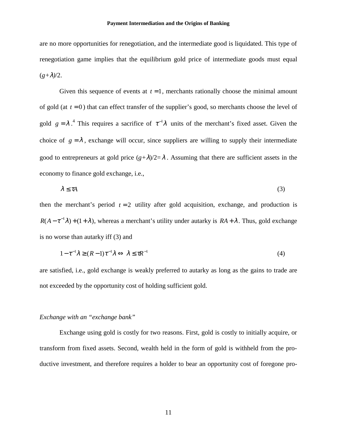are no more opportunities for renegotiation, and the intermediate good is liquidated. This type of renegotiation game implies that the equilibrium gold price of intermediate goods must equal  $(g+\lambda)/2$ .

Given this sequence of events at  $t = 1$ , merchants rationally choose the minimal amount of gold (at  $t = 0$ ) that can effect transfer of the supplier's good, so merchants choose the level of gold  $g = \lambda$ .<sup>4</sup> This requires a sacrifice of  $\tau^{-1}\lambda$  units of the merchant's fixed asset. Given the choice of  $g = \lambda$ , exchange will occur, since suppliers are willing to supply their intermediate good to entrepreneurs at gold price  $(g+\lambda)/2 = \lambda$ . Assuming that there are sufficient assets in the economy to finance gold exchange, i.e.,

$$
\lambda \le \tau A \tag{3}
$$

then the merchant's period  $t = 2$  utility after gold acquisition, exchange, and production is  $R(A - \tau^{-1}\lambda) + (1 + \lambda)$ , whereas a merchant's utility under autarky is  $RA + \lambda$ . Thus, gold exchange is no worse than autarky iff (3) and

$$
1 - \tau^{-1} \lambda \ge (R - 1)\tau^{-1} \lambda \Leftrightarrow \lambda \le \tau R^{-1}
$$
\n<sup>(4)</sup>

are satisfied, i.e., gold exchange is weakly preferred to autarky as long as the gains to trade are not exceeded by the opportunity cost of holding sufficient gold.

#### *Exchange with an "exchange bank"*

Exchange using gold is costly for two reasons. First, gold is costly to initially acquire, or transform from fixed assets. Second, wealth held in the form of gold is withheld from the productive investment, and therefore requires a holder to bear an opportunity cost of foregone pro-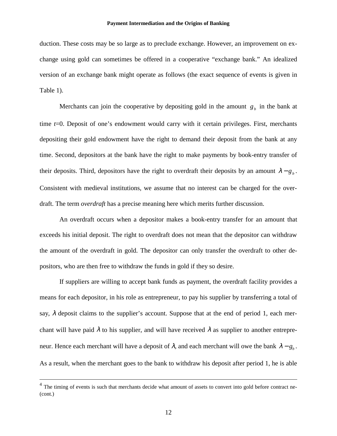duction. These costs may be so large as to preclude exchange. However, an improvement on exchange using gold can sometimes be offered in a cooperative "exchange bank." An idealized version of an exchange bank might operate as follows (the exact sequence of events is given in Table 1).

Merchants can join the cooperative by depositing gold in the amount  $g_b$  in the bank at time *t*=0. Deposit of one's endowment would carry with it certain privileges. First, merchants depositing their gold endowment have the right to demand their deposit from the bank at any time. Second, depositors at the bank have the right to make payments by book-entry transfer of their deposits. Third, depositors have the right to overdraft their deposits by an amount  $\lambda - g_h$ . Consistent with medieval institutions, we assume that no interest can be charged for the overdraft. The term *overdraft* has a precise meaning here which merits further discussion.

An overdraft occurs when a depositor makes a book-entry transfer for an amount that exceeds his initial deposit. The right to overdraft does not mean that the depositor can withdraw the amount of the overdraft in gold. The depositor can only transfer the overdraft to other depositors, who are then free to withdraw the funds in gold if they so desire.

If suppliers are willing to accept bank funds as payment, the overdraft facility provides a means for each depositor, in his role as entrepreneur, to pay his supplier by transferring a total of say,  $\lambda$  deposit claims to the supplier's account. Suppose that at the end of period 1, each merchant will have paid  $\lambda$  to his supplier, and will have received  $\lambda$  as supplier to another entrepreneur. Hence each merchant will have a deposit of  $\lambda$ , and each merchant will owe the bank  $\lambda - g_b$ . As a result, when the merchant goes to the bank to withdraw his deposit after period 1, he is able

<sup>&</sup>lt;sup>4</sup> The timing of events is such that merchants decide what amount of assets to convert into gold before contract ne-(cont.)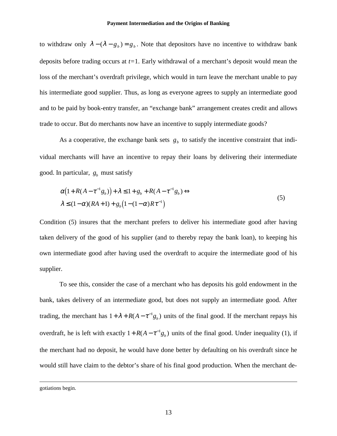to withdraw only  $\lambda - (\lambda - g_b) = g_b$ . Note that depositors have no incentive to withdraw bank deposits before trading occurs at *t=*1. Early withdrawal of a merchant's deposit would mean the loss of the merchant's overdraft privilege, which would in turn leave the merchant unable to pay his intermediate good supplier. Thus, as long as everyone agrees to supply an intermediate good and to be paid by book-entry transfer, an "exchange bank" arrangement creates credit and allows trade to occur. But do merchants now have an incentive to supply intermediate goods?

As a cooperative, the exchange bank sets  $g<sub>b</sub>$  to satisfy the incentive constraint that individual merchants will have an incentive to repay their loans by delivering their intermediate good. In particular,  $g_h$  must satisfy

$$
\alpha \left( 1 + R(A - \tau^{-1} g_b) \right) + \lambda \le 1 + g_b + R(A - \tau^{-1} g_b) \Leftrightarrow
$$
  
\n
$$
\lambda \le (1 - \alpha)(RA + 1) + g_b \left( 1 - (1 - \alpha) R \tau^{-1} \right)
$$
\n(5)

Condition (5) insures that the merchant prefers to deliver his intermediate good after having taken delivery of the good of his supplier (and to thereby repay the bank loan), to keeping his own intermediate good after having used the overdraft to acquire the intermediate good of his supplier.

To see this, consider the case of a merchant who has deposits his gold endowment in the bank, takes delivery of an intermediate good, but does not supply an intermediate good. After trading, the merchant has  $1 + \lambda + R(A - \tau^{-1}g_h)$  units of the final good. If the merchant repays his overdraft, he is left with exactly  $1 + R(A - \tau^{-1}g_h)$  units of the final good. Under inequality (1), if the merchant had no deposit, he would have done better by defaulting on his overdraft since he would still have claim to the debtor's share of his final good production. When the merchant de-

gotiations begin.

 $\overline{a}$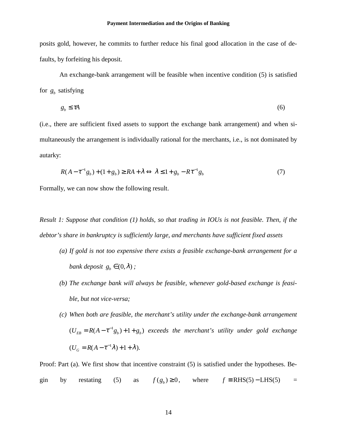posits gold, however, he commits to further reduce his final good allocation in the case of defaults, by forfeiting his deposit.

An exchange-bank arrangement will be feasible when incentive condition (5) is satisfied for  $g_b$  satisfying

$$
g_b \le \tau A \tag{6}
$$

(i.e., there are sufficient fixed assets to support the exchange bank arrangement) and when simultaneously the arrangement is individually rational for the merchants, i.e., is not dominated by autarky:

$$
R(A - \tau^{-1}g_b) + (1 + g_b) \ge RA + \lambda \Leftrightarrow \lambda \le 1 + g_b - R\tau^{-1}g_b \tag{7}
$$

Formally, we can now show the following result.

*Result 1: Suppose that condition (1) holds, so that trading in IOUs is not feasible. Then, if the debtor's share in bankruptcy is sufficiently large, and merchants have sufficient fixed assets*

- *(a) If gold is not too expensive there exists a feasible exchange-bank arrangement for a bank deposit*  $g_b \in (0, \lambda)$ ;
- *(b) The exchange bank will always be feasible, whenever gold-based exchange is feasible, but not vice-versa;*
- *(c) When both are feasible, the merchant's utility under the exchange-bank arrangement*  $(U_{EB} = R(A - \tau^{-1}g_b) + 1 + g_b)$  exceeds the merchant's utility under gold exchange  $(U_c = R(A - \tau^{-1}\lambda) + 1 + \lambda).$

Proof: Part (a). We first show that incentive constraint (5) is satisfied under the hypotheses. Begin by restating (5) as  $f(g_b) \ge 0$ , where  $f = \text{RHS}(5) - \text{LHS}(5)$  =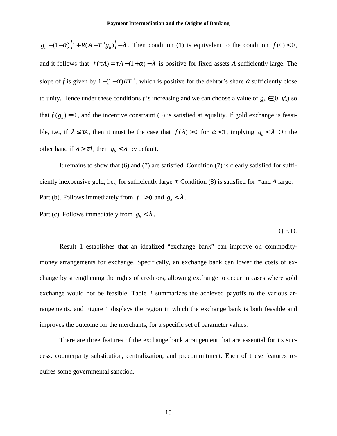$g_b + (1 - \alpha) (1 + R(A - \tau^{-1} g_b)) - \lambda$ . Then condition (1) is equivalent to the condition  $f(0) < 0$ , and it follows that  $f(\tau A) = \tau A + (1 + \alpha) - \lambda$  is positive for fixed assets *A* sufficiently large. The slope of *f* is given by  $1 - (1 - \alpha)R\tau^{-1}$ , which is positive for the debtor's share  $\alpha$  sufficiently close to unity. Hence under these conditions *f* is increasing and we can choose a value of  $g_b \in (0, \tau A)$  so that  $f(g_b) = 0$ , and the incentive constraint (5) is satisfied at equality. If gold exchange is feasible, i.e., if  $\lambda \le \tau A$ , then it must be the case that  $f(\lambda) > 0$  for  $\alpha < 1$ , implying  $g_b < \lambda$  On the other hand if  $\lambda > \tau A$ , then  $g_b < \lambda$  by default.

It remains to show that (6) and (7) are satisfied. Condition (7) is clearly satisfied for sufficiently inexpensive gold, i.e., for sufficiently large  $\tau$ . Condition (8) is satisfied for  $\tau$  and A large. Part (b). Follows immediately from  $f' > 0$  and  $g_b < \lambda$ .

Part (c). Follows immediately from  $g_b < \lambda$ .

Q.E.D.

Result 1 establishes that an idealized "exchange bank" can improve on commoditymoney arrangements for exchange. Specifically, an exchange bank can lower the costs of exchange by strengthening the rights of creditors, allowing exchange to occur in cases where gold exchange would not be feasible. Table 2 summarizes the achieved payoffs to the various arrangements, and Figure 1 displays the region in which the exchange bank is both feasible and improves the outcome for the merchants, for a specific set of parameter values.

There are three features of the exchange bank arrangement that are essential for its success: counterparty substitution, centralization, and precommitment. Each of these features requires some governmental sanction.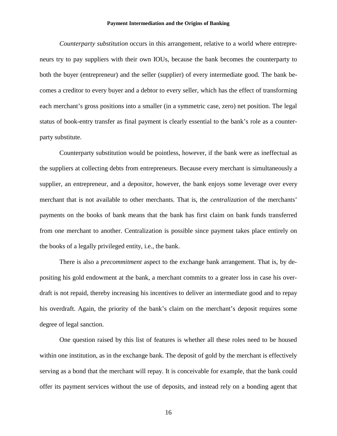*Counterparty substitution* occurs in this arrangement, relative to a world where entrepreneurs try to pay suppliers with their own IOUs, because the bank becomes the counterparty to both the buyer (entrepreneur) and the seller (supplier) of every intermediate good. The bank becomes a creditor to every buyer and a debtor to every seller, which has the effect of transforming each merchant's gross positions into a smaller (in a symmetric case, zero) net position. The legal status of book-entry transfer as final payment is clearly essential to the bank's role as a counterparty substitute.

Counterparty substitution would be pointless, however, if the bank were as ineffectual as the suppliers at collecting debts from entrepreneurs. Because every merchant is simultaneously a supplier, an entrepreneur, and a depositor, however, the bank enjoys some leverage over every merchant that is not available to other merchants. That is, the *centralization* of the merchants' payments on the books of bank means that the bank has first claim on bank funds transferred from one merchant to another. Centralization is possible since payment takes place entirely on the books of a legally privileged entity, i.e., the bank.

There is also a *precommitment* aspect to the exchange bank arrangement. That is, by depositing his gold endowment at the bank, a merchant commits to a greater loss in case his overdraft is not repaid, thereby increasing his incentives to deliver an intermediate good and to repay his overdraft. Again, the priority of the bank's claim on the merchant's deposit requires some degree of legal sanction.

One question raised by this list of features is whether all these roles need to be housed within one institution, as in the exchange bank. The deposit of gold by the merchant is effectively serving as a bond that the merchant will repay. It is conceivable for example, that the bank could offer its payment services without the use of deposits, and instead rely on a bonding agent that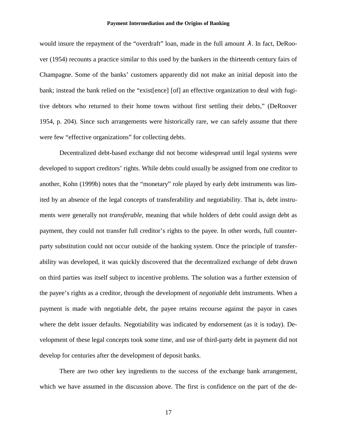would insure the repayment of the "overdraft" loan, made in the full amount  $\lambda$ . In fact, DeRoover (1954) recounts a practice similar to this used by the bankers in the thirteenth century fairs of Champagne. Some of the banks' customers apparently did not make an initial deposit into the bank; instead the bank relied on the "exist[ence] [of] an effective organization to deal with fugitive debtors who returned to their home towns without first settling their debts," (DeRoover 1954, p. 204). Since such arrangements were historically rare, we can safely assume that there were few "effective organizations" for collecting debts.

Decentralized debt-based exchange did not become widespread until legal systems were developed to support creditors' rights. While debts could usually be assigned from one creditor to another, Kohn (1999b) notes that the "monetary" role played by early debt instruments was limited by an absence of the legal concepts of transferability and negotiability. That is, debt instruments were generally not *transferable*, meaning that while holders of debt could assign debt as payment, they could not transfer full creditor's rights to the payee. In other words, full counterparty substitution could not occur outside of the banking system. Once the principle of transferability was developed, it was quickly discovered that the decentralized exchange of debt drawn on third parties was itself subject to incentive problems. The solution was a further extension of the payee's rights as a creditor, through the development of *negotiable* debt instruments. When a payment is made with negotiable debt, the payee retains recourse against the payor in cases where the debt issuer defaults. Negotiability was indicated by endorsement (as it is today). Development of these legal concepts took some time, and use of third-party debt in payment did not develop for centuries after the development of deposit banks.

There are two other key ingredients to the success of the exchange bank arrangement, which we have assumed in the discussion above. The first is confidence on the part of the de-

17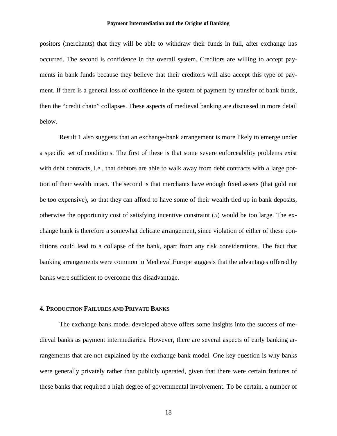positors (merchants) that they will be able to withdraw their funds in full, after exchange has occurred. The second is confidence in the overall system. Creditors are willing to accept payments in bank funds because they believe that their creditors will also accept this type of payment. If there is a general loss of confidence in the system of payment by transfer of bank funds, then the "credit chain" collapses. These aspects of medieval banking are discussed in more detail below.

Result 1 also suggests that an exchange-bank arrangement is more likely to emerge under a specific set of conditions. The first of these is that some severe enforceability problems exist with debt contracts, i.e., that debtors are able to walk away from debt contracts with a large portion of their wealth intact. The second is that merchants have enough fixed assets (that gold not be too expensive), so that they can afford to have some of their wealth tied up in bank deposits, otherwise the opportunity cost of satisfying incentive constraint (5) would be too large. The exchange bank is therefore a somewhat delicate arrangement, since violation of either of these conditions could lead to a collapse of the bank, apart from any risk considerations. The fact that banking arrangements were common in Medieval Europe suggests that the advantages offered by banks were sufficient to overcome this disadvantage.

#### **4. PRODUCTION FAILURES AND PRIVATE BANKS**

The exchange bank model developed above offers some insights into the success of medieval banks as payment intermediaries. However, there are several aspects of early banking arrangements that are not explained by the exchange bank model. One key question is why banks were generally privately rather than publicly operated, given that there were certain features of these banks that required a high degree of governmental involvement. To be certain, a number of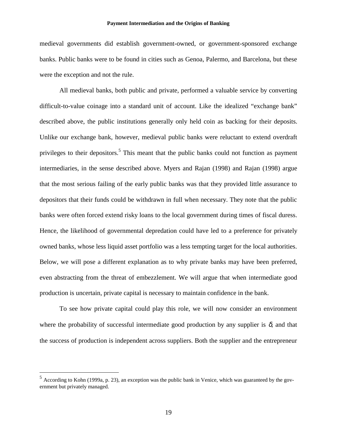medieval governments did establish government-owned, or government-sponsored exchange banks. Public banks were to be found in cities such as Genoa, Palermo, and Barcelona, but these were the exception and not the rule.

All medieval banks, both public and private, performed a valuable service by converting difficult-to-value coinage into a standard unit of account. Like the idealized "exchange bank" described above, the public institutions generally only held coin as backing for their deposits. Unlike our exchange bank, however, medieval public banks were reluctant to extend overdraft privileges to their depositors.<sup>5</sup> This meant that the public banks could not function as payment intermediaries, in the sense described above. Myers and Rajan (1998) and Rajan (1998) argue that the most serious failing of the early public banks was that they provided little assurance to depositors that their funds could be withdrawn in full when necessary. They note that the public banks were often forced extend risky loans to the local government during times of fiscal duress. Hence, the likelihood of governmental depredation could have led to a preference for privately owned banks, whose less liquid asset portfolio was a less tempting target for the local authorities. Below, we will pose a different explanation as to why private banks may have been preferred, even abstracting from the threat of embezzlement. We will argue that when intermediate good production is uncertain, private capital is necessary to maintain confidence in the bank.

To see how private capital could play this role, we will now consider an environment where the probability of successful intermediate good production by any supplier is  $\delta$ , and that the success of production is independent across suppliers. Both the supplier and the entrepreneur

 $\overline{a}$ 

 $<sup>5</sup>$  According to Kohn (1999a, p. 23), an exception was the public bank in Venice, which was guaranteed by the gov-</sup> ernment but privately managed.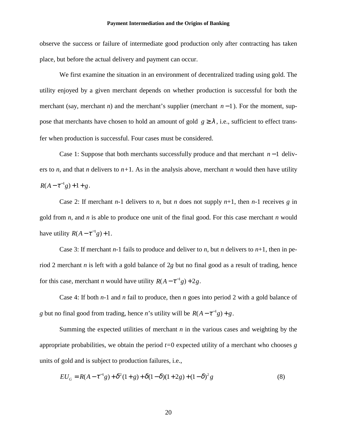observe the success or failure of intermediate good production only after contracting has taken place, but before the actual delivery and payment can occur.

We first examine the situation in an environment of decentralized trading using gold. The utility enjoyed by a given merchant depends on whether production is successful for both the merchant (say, merchant *n*) and the merchant's supplier (merchant *n* −1). For the moment, suppose that merchants have chosen to hold an amount of gold  $g \ge \lambda$ , i.e., sufficient to effect transfer when production is successful. Four cases must be considered.

Case 1: Suppose that both merchants successfully produce and that merchant *n* −1 delivers to *n*, and that *n* delivers to  $n+1$ . As in the analysis above, merchant *n* would then have utility  $R(A - \tau^{-1}g) + 1 + g$ .

Case 2: If merchant *n*-1 delivers to *n*, but *n* does not supply  $n+1$ , then  $n-1$  receives *g* in gold from *n*, and *n* is able to produce one unit of the final good. For this case merchant *n* would have utility  $R(A - \tau^{-1}g) + 1$ .

Case 3: If merchant  $n-1$  fails to produce and deliver to  $n$ , but  $n$  delivers to  $n+1$ , then in period 2 merchant *n* is left with a gold balance of 2*g* but no final good as a result of trading, hence for this case, merchant *n* would have utility  $R(A - \tau^{-1}g) + 2g$ .

Case 4: If both *n-*1 and *n* fail to produce, then *n* goes into period 2 with a gold balance of *g* but no final good from trading, hence *n*'s utility will be  $R(A - \tau^{-1}g) + g$ .

Summing the expected utilities of merchant  $n$  in the various cases and weighting by the appropriate probabilities, we obtain the period *t=*0 expected utility of a merchant who chooses *g* units of gold and is subject to production failures, i.e.,

$$
EU_G = R(A - \tau^{-1}g) + \delta^2(1+g) + \delta(1-\delta)(1+2g) + (1-\delta)^2g
$$
\n(8)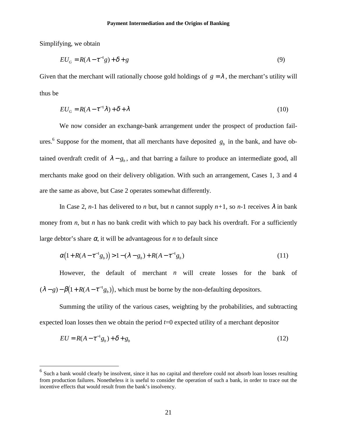Simplifying, we obtain

 $\overline{a}$ 

$$
EU_G = R(A - \tau^{-1}g) + \delta + g \tag{9}
$$

Given that the merchant will rationally choose gold holdings of  $g = \lambda$ , the merchant's utility will thus be

$$
EU_G = R(A - \tau^{-1}\lambda) + \delta + \lambda \tag{10}
$$

We now consider an exchange-bank arrangement under the prospect of production failures.<sup>6</sup> Suppose for the moment, that all merchants have deposited  $g_b$  in the bank, and have obtained overdraft credit of  $\lambda - g_b$ , and that barring a failure to produce an intermediate good, all merchants make good on their delivery obligation. With such an arrangement, Cases 1, 3 and 4 are the same as above, but Case 2 operates somewhat differently.

In Case 2, *n*-1 has delivered to *n* but, but *n* cannot supply  $n+1$ , so *n*-1 receives  $\lambda$  in bank money from *n*, but *n* has no bank credit with which to pay back his overdraft. For a sufficiently large debtor's share  $\alpha$ , it will be advantageous for *n* to default since

$$
\alpha(1 + R(A - \tau^{-1}g_b)) > 1 - (\lambda - g_b) + R(A - \tau^{-1}g_b)
$$
\n(11)

However, the default of merchant *n* will create losses for the bank of  $(\lambda - g) - \beta (1 + R(A - \tau^{-1} g_b))$ , which must be borne by the non-defaulting depositors.

Summing the utility of the various cases, weighting by the probabilities, and subtracting expected loan losses then we obtain the period *t*=0 expected utility of a merchant depositor

$$
EU = R(A - \tau^{-1}g_b) + \delta + g_b \tag{12}
$$

 $<sup>6</sup>$  Such a bank would clearly be insolvent, since it has no capital and therefore could not absorb loan losses resulting</sup> from production failures. Nonetheless it is useful to consider the operation of such a bank, in order to trace out the incentive effects that would result from the bank's insolvency.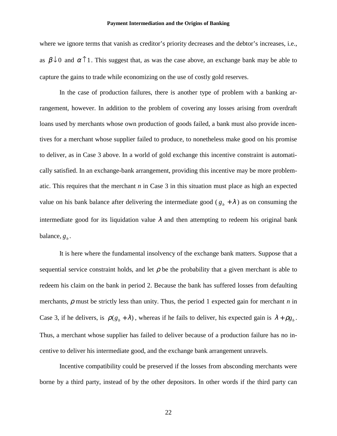where we ignore terms that vanish as creditor's priority decreases and the debtor's increases, i.e., as  $\beta \downarrow 0$  and  $\alpha \uparrow 1$ . This suggest that, as was the case above, an exchange bank may be able to capture the gains to trade while economizing on the use of costly gold reserves.

In the case of production failures, there is another type of problem with a banking arrangement, however. In addition to the problem of covering any losses arising from overdraft loans used by merchants whose own production of goods failed, a bank must also provide incentives for a merchant whose supplier failed to produce, to nonetheless make good on his promise to deliver, as in Case 3 above. In a world of gold exchange this incentive constraint is automatically satisfied. In an exchange-bank arrangement, providing this incentive may be more problematic. This requires that the merchant *n* in Case 3 in this situation must place as high an expected value on his bank balance after delivering the intermediate good ( $g_b + \lambda$ ) as on consuming the intermediate good for its liquidation value  $\lambda$  and then attempting to redeem his original bank balance,  $g_b$ .

It is here where the fundamental insolvency of the exchange bank matters. Suppose that a sequential service constraint holds, and let  $\rho$  be the probability that a given merchant is able to redeem his claim on the bank in period 2. Because the bank has suffered losses from defaulting merchants, ρ must be strictly less than unity. Thus, the period 1 expected gain for merchant *n* in Case 3, if he delivers, is  $\rho(g_b + \lambda)$ , whereas if he fails to deliver, his expected gain is  $\lambda + \rho g_b$ . Thus, a merchant whose supplier has failed to deliver because of a production failure has no incentive to deliver his intermediate good, and the exchange bank arrangement unravels.

Incentive compatibility could be preserved if the losses from absconding merchants were borne by a third party, instead of by the other depositors. In other words if the third party can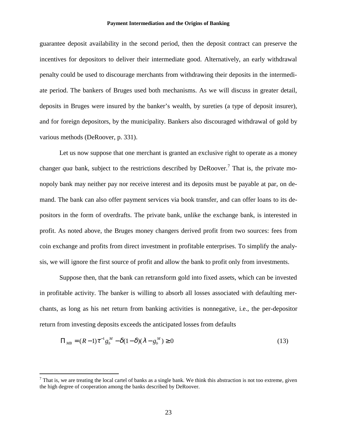guarantee deposit availability in the second period, then the deposit contract can preserve the incentives for depositors to deliver their intermediate good. Alternatively, an early withdrawal penalty could be used to discourage merchants from withdrawing their deposits in the intermediate period. The bankers of Bruges used both mechanisms. As we will discuss in greater detail, deposits in Bruges were insured by the banker's wealth, by sureties (a type of deposit insurer), and for foreign depositors, by the municipality. Bankers also discouraged withdrawal of gold by various methods (DeRoover, p. 331).

Let us now suppose that one merchant is granted an exclusive right to operate as a money changer *qua* bank, subject to the restrictions described by DeRoover.<sup>7</sup> That is, the private monopoly bank may neither pay nor receive interest and its deposits must be payable at par, on demand. The bank can also offer payment services via book transfer, and can offer loans to its depositors in the form of overdrafts. The private bank, unlike the exchange bank, is interested in profit. As noted above, the Bruges money changers derived profit from two sources: fees from coin exchange and profits from direct investment in profitable enterprises. To simplify the analysis, we will ignore the first source of profit and allow the bank to profit only from investments.

Suppose then, that the bank can retransform gold into fixed assets, which can be invested in profitable activity. The banker is willing to absorb all losses associated with defaulting merchants, as long as his net return from banking activities is nonnegative, i.e., the per-depositor return from investing deposits exceeds the anticipated losses from defaults

$$
\Pi_{MB} = (R-1)\tau^{-1}g_b^M - \delta(1-\delta)(\lambda - g_b^M) \ge 0
$$
\n(13)

 $\overline{a}$ 

 $<sup>7</sup>$  That is, we are treating the local cartel of banks as a single bank. We think this abstraction is not too extreme, given</sup> the high degree of cooperation among the banks described by DeRoover.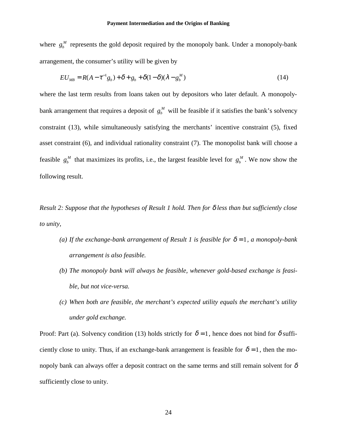where  $g_b^M$  represents the gold deposit required by the monopoly bank. Under a monopoly-bank arrangement, the consumer's utility will be given by

$$
EU_{MB} = R(A - \tau^{-1}g_b) + \delta + g_b + \delta(1 - \delta)(\lambda - g_b^M)
$$
\n(14)

where the last term results from loans taken out by depositors who later default. A monopolybank arrangement that requires a deposit of  $g_b^M$  will be feasible if it satisfies the bank's solvency constraint (13), while simultaneously satisfying the merchants' incentive constraint (5), fixed asset constraint (6), and individual rationality constraint (7). The monopolist bank will choose a feasible  $g_b^M$  that maximizes its profits, i.e., the largest feasible level for  $g_b^M$ . We now show the following result.

*Result 2: Suppose that the hypotheses of Result 1 hold. Then for* δ *less than but sufficiently close to unity,*

- *(a)* If the exchange-bank arrangement of Result 1 is feasible for  $\delta = 1$ , a monopoly-bank *arrangement is also feasible.*
- *(b) The monopoly bank will always be feasible, whenever gold-based exchange is feasible, but not vice-versa.*
- *(c) When both are feasible, the merchant's expected utility equals the merchant's utility under gold exchange.*

Proof: Part (a). Solvency condition (13) holds strictly for  $\delta = 1$ , hence does not bind for  $\delta$  sufficiently close to unity. Thus, if an exchange-bank arrangement is feasible for  $\delta = 1$ , then the monopoly bank can always offer a deposit contract on the same terms and still remain solvent for  $\delta$ sufficiently close to unity.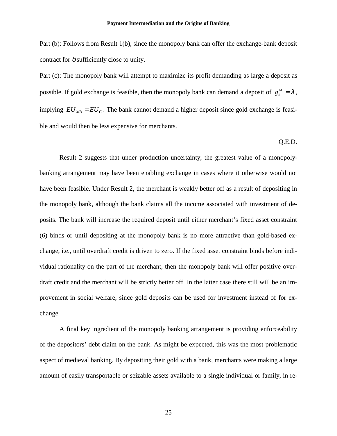Part (b): Follows from Result 1(b), since the monopoly bank can offer the exchange-bank deposit contract for  $\delta$  sufficiently close to unity.

Part (c): The monopoly bank will attempt to maximize its profit demanding as large a deposit as possible. If gold exchange is feasible, then the monopoly bank can demand a deposit of  $g_b^M = \lambda$ , implying  $EU_{MB} = EU_G$ . The bank cannot demand a higher deposit since gold exchange is feasible and would then be less expensive for merchants.

Q.E.D.

Result 2 suggests that under production uncertainty, the greatest value of a monopolybanking arrangement may have been enabling exchange in cases where it otherwise would not have been feasible. Under Result 2, the merchant is weakly better off as a result of depositing in the monopoly bank, although the bank claims all the income associated with investment of deposits. The bank will increase the required deposit until either merchant's fixed asset constraint (6) binds or until depositing at the monopoly bank is no more attractive than gold-based exchange, i.e., until overdraft credit is driven to zero. If the fixed asset constraint binds before individual rationality on the part of the merchant, then the monopoly bank will offer positive overdraft credit and the merchant will be strictly better off. In the latter case there still will be an improvement in social welfare, since gold deposits can be used for investment instead of for exchange.

A final key ingredient of the monopoly banking arrangement is providing enforceability of the depositors' debt claim on the bank. As might be expected, this was the most problematic aspect of medieval banking. By depositing their gold with a bank, merchants were making a large amount of easily transportable or seizable assets available to a single individual or family, in re-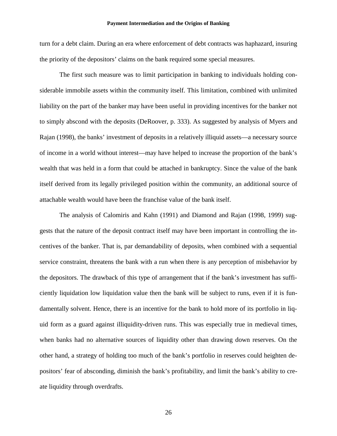turn for a debt claim. During an era where enforcement of debt contracts was haphazard, insuring the priority of the depositors' claims on the bank required some special measures.

The first such measure was to limit participation in banking to individuals holding considerable immobile assets within the community itself. This limitation, combined with unlimited liability on the part of the banker may have been useful in providing incentives for the banker not to simply abscond with the deposits (DeRoover, p. 333). As suggested by analysis of Myers and Rajan (1998), the banks' investment of deposits in a relatively illiquid assets—a necessary source of income in a world without interest—may have helped to increase the proportion of the bank's wealth that was held in a form that could be attached in bankruptcy. Since the value of the bank itself derived from its legally privileged position within the community, an additional source of attachable wealth would have been the franchise value of the bank itself.

The analysis of Calomiris and Kahn (1991) and Diamond and Rajan (1998, 1999) suggests that the nature of the deposit contract itself may have been important in controlling the incentives of the banker. That is, par demandability of deposits, when combined with a sequential service constraint, threatens the bank with a run when there is any perception of misbehavior by the depositors. The drawback of this type of arrangement that if the bank's investment has sufficiently liquidation low liquidation value then the bank will be subject to runs, even if it is fundamentally solvent. Hence, there is an incentive for the bank to hold more of its portfolio in liquid form as a guard against illiquidity-driven runs. This was especially true in medieval times, when banks had no alternative sources of liquidity other than drawing down reserves. On the other hand, a strategy of holding too much of the bank's portfolio in reserves could heighten depositors' fear of absconding, diminish the bank's profitability, and limit the bank's ability to create liquidity through overdrafts.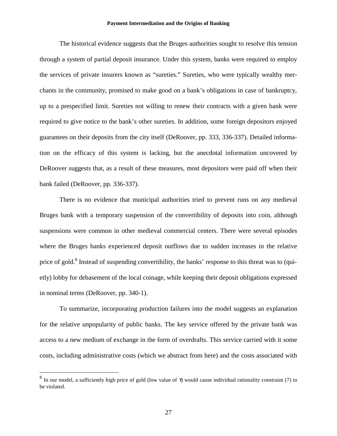The historical evidence suggests that the Bruges authorities sought to resolve this tension through a system of partial deposit insurance. Under this system, banks were required to employ the services of private insurers known as "sureties." Sureties, who were typically wealthy merchants in the community, promised to make good on a bank's obligations in case of bankruptcy, up to a prespecified limit. Sureties not willing to renew their contracts with a given bank were required to give notice to the bank's other sureties. In addition, some foreign depositors enjoyed guarantees on their deposits from the city itself (DeRoover, pp. 333, 336-337). Detailed information on the efficacy of this system is lacking, but the anecdotal information uncovered by DeRoover suggests that, as a result of these measures, most depositors were paid off when their bank failed (DeRoover, pp. 336-337).

There is no evidence that municipal authorities tried to prevent runs on any medieval Bruges bank with a temporary suspension of the convertibility of deposits into coin, although suspensions were common in other medieval commercial centers. There were several episodes where the Bruges banks experienced deposit outflows due to sudden increases in the relative price of gold.<sup>8</sup> Instead of suspending convertibility, the banks' response to this threat was to (quietly) lobby for debasement of the local coinage, while keeping their deposit obligations expressed in nominal terms (DeRoover, pp. 340-1).

To summarize, incorporating production failures into the model suggests an explanation for the relative unpopularity of public banks. The key service offered by the private bank was access to a new medium of exchange in the form of overdrafts. This service carried with it some costs, including administrative costs (which we abstract from here) and the costs associated with

 $\overline{a}$ 

<sup>&</sup>lt;sup>8</sup> In our model, a sufficiently high price of gold (low value of  $\tau$ ) would cause individual rationality constraint (7) to be violated.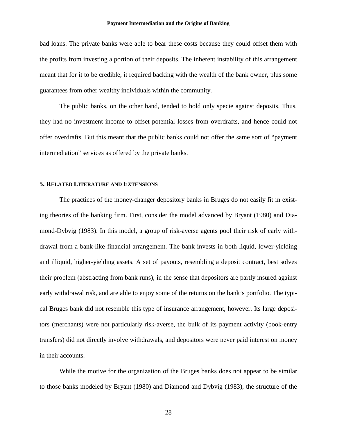bad loans. The private banks were able to bear these costs because they could offset them with the profits from investing a portion of their deposits. The inherent instability of this arrangement meant that for it to be credible, it required backing with the wealth of the bank owner, plus some guarantees from other wealthy individuals within the community.

The public banks, on the other hand, tended to hold only specie against deposits. Thus, they had no investment income to offset potential losses from overdrafts, and hence could not offer overdrafts. But this meant that the public banks could not offer the same sort of "payment intermediation" services as offered by the private banks.

#### **5. RELATED LITERATURE AND EXTENSIONS**

The practices of the money-changer depository banks in Bruges do not easily fit in existing theories of the banking firm. First, consider the model advanced by Bryant (1980) and Diamond-Dybvig (1983). In this model, a group of risk-averse agents pool their risk of early withdrawal from a bank-like financial arrangement. The bank invests in both liquid, lower-yielding and illiquid, higher-yielding assets. A set of payouts, resembling a deposit contract, best solves their problem (abstracting from bank runs), in the sense that depositors are partly insured against early withdrawal risk, and are able to enjoy some of the returns on the bank's portfolio. The typical Bruges bank did not resemble this type of insurance arrangement, however. Its large depositors (merchants) were not particularly risk-averse, the bulk of its payment activity (book-entry transfers) did not directly involve withdrawals, and depositors were never paid interest on money in their accounts.

While the motive for the organization of the Bruges banks does not appear to be similar to those banks modeled by Bryant (1980) and Diamond and Dybvig (1983), the structure of the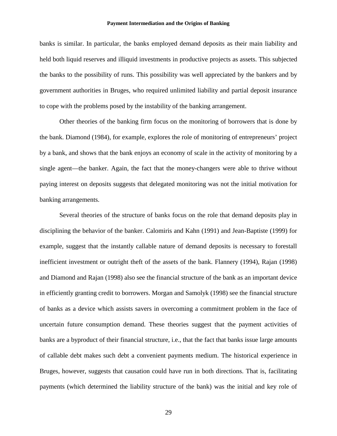banks is similar. In particular, the banks employed demand deposits as their main liability and held both liquid reserves and illiquid investments in productive projects as assets. This subjected the banks to the possibility of runs. This possibility was well appreciated by the bankers and by government authorities in Bruges, who required unlimited liability and partial deposit insurance to cope with the problems posed by the instability of the banking arrangement.

Other theories of the banking firm focus on the monitoring of borrowers that is done by the bank. Diamond (1984), for example, explores the role of monitoring of entrepreneurs' project by a bank, and shows that the bank enjoys an economy of scale in the activity of monitoring by a single agent—the banker. Again, the fact that the money-changers were able to thrive without paying interest on deposits suggests that delegated monitoring was not the initial motivation for banking arrangements.

Several theories of the structure of banks focus on the role that demand deposits play in disciplining the behavior of the banker. Calomiris and Kahn (1991) and Jean-Baptiste (1999) for example, suggest that the instantly callable nature of demand deposits is necessary to forestall inefficient investment or outright theft of the assets of the bank. Flannery (1994), Rajan (1998) and Diamond and Rajan (1998) also see the financial structure of the bank as an important device in efficiently granting credit to borrowers. Morgan and Samolyk (1998) see the financial structure of banks as a device which assists savers in overcoming a commitment problem in the face of uncertain future consumption demand. These theories suggest that the payment activities of banks are a byproduct of their financial structure, i.e., that the fact that banks issue large amounts of callable debt makes such debt a convenient payments medium. The historical experience in Bruges, however, suggests that causation could have run in both directions. That is, facilitating payments (which determined the liability structure of the bank) was the initial and key role of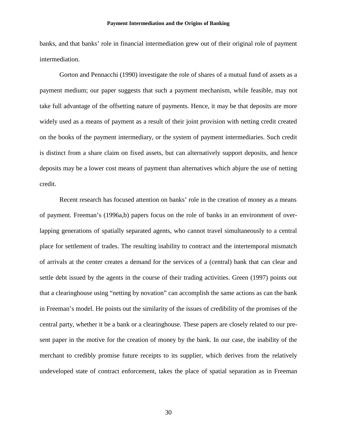banks, and that banks' role in financial intermediation grew out of their original role of payment intermediation.

Gorton and Pennacchi (1990) investigate the role of shares of a mutual fund of assets as a payment medium; our paper suggests that such a payment mechanism, while feasible, may not take full advantage of the offsetting nature of payments. Hence, it may be that deposits are more widely used as a means of payment as a result of their joint provision with netting credit created on the books of the payment intermediary, or the system of payment intermediaries. Such credit is distinct from a share claim on fixed assets, but can alternatively support deposits, and hence deposits may be a lower cost means of payment than alternatives which abjure the use of netting credit.

Recent research has focused attention on banks' role in the creation of money as a means of payment. Freeman's (1996a,b) papers focus on the role of banks in an environment of overlapping generations of spatially separated agents, who cannot travel simultaneously to a central place for settlement of trades. The resulting inability to contract and the intertemporal mismatch of arrivals at the center creates a demand for the services of a (central) bank that can clear and settle debt issued by the agents in the course of their trading activities. Green (1997) points out that a clearinghouse using "netting by novation" can accomplish the same actions as can the bank in Freeman's model. He points out the similarity of the issues of credibility of the promises of the central party, whether it be a bank or a clearinghouse. These papers are closely related to our present paper in the motive for the creation of money by the bank. In our case, the inability of the merchant to credibly promise future receipts to its supplier, which derives from the relatively undeveloped state of contract enforcement, takes the place of spatial separation as in Freeman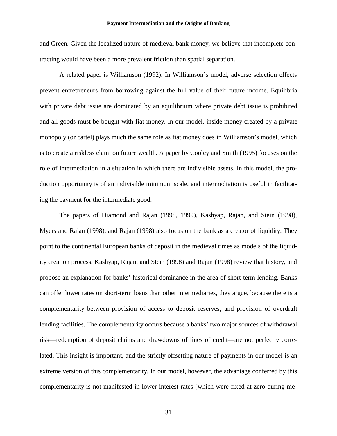and Green. Given the localized nature of medieval bank money, we believe that incomplete contracting would have been a more prevalent friction than spatial separation.

A related paper is Williamson (1992). In Williamson's model, adverse selection effects prevent entrepreneurs from borrowing against the full value of their future income. Equilibria with private debt issue are dominated by an equilibrium where private debt issue is prohibited and all goods must be bought with fiat money. In our model, inside money created by a private monopoly (or cartel) plays much the same role as fiat money does in Williamson's model, which is to create a riskless claim on future wealth. A paper by Cooley and Smith (1995) focuses on the role of intermediation in a situation in which there are indivisible assets. In this model, the production opportunity is of an indivisible minimum scale, and intermediation is useful in facilitating the payment for the intermediate good.

The papers of Diamond and Rajan (1998, 1999), Kashyap, Rajan, and Stein (1998), Myers and Rajan (1998), and Rajan (1998) also focus on the bank as a creator of liquidity. They point to the continental European banks of deposit in the medieval times as models of the liquidity creation process. Kashyap, Rajan, and Stein (1998) and Rajan (1998) review that history, and propose an explanation for banks' historical dominance in the area of short-term lending. Banks can offer lower rates on short-term loans than other intermediaries, they argue, because there is a complementarity between provision of access to deposit reserves, and provision of overdraft lending facilities. The complementarity occurs because a banks' two major sources of withdrawal risk—redemption of deposit claims and drawdowns of lines of credit—are not perfectly correlated. This insight is important, and the strictly offsetting nature of payments in our model is an extreme version of this complementarity. In our model, however, the advantage conferred by this complementarity is not manifested in lower interest rates (which were fixed at zero during me-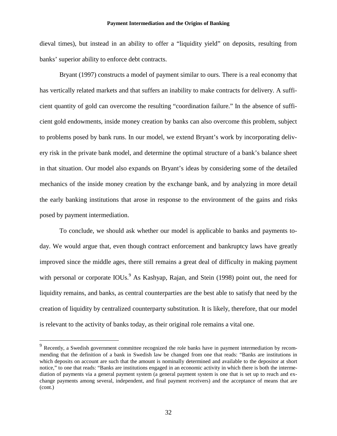dieval times), but instead in an ability to offer a "liquidity yield" on deposits, resulting from banks' superior ability to enforce debt contracts.

Bryant (1997) constructs a model of payment similar to ours. There is a real economy that has vertically related markets and that suffers an inability to make contracts for delivery. A sufficient quantity of gold can overcome the resulting "coordination failure." In the absence of sufficient gold endowments, inside money creation by banks can also overcome this problem, subject to problems posed by bank runs. In our model, we extend Bryant's work by incorporating delivery risk in the private bank model, and determine the optimal structure of a bank's balance sheet in that situation. Our model also expands on Bryant's ideas by considering some of the detailed mechanics of the inside money creation by the exchange bank, and by analyzing in more detail the early banking institutions that arose in response to the environment of the gains and risks posed by payment intermediation.

To conclude, we should ask whether our model is applicable to banks and payments today. We would argue that, even though contract enforcement and bankruptcy laws have greatly improved since the middle ages, there still remains a great deal of difficulty in making payment with personal or corporate IOUs.<sup>9</sup> As Kashyap, Rajan, and Stein (1998) point out, the need for liquidity remains, and banks, as central counterparties are the best able to satisfy that need by the creation of liquidity by centralized counterparty substitution. It is likely, therefore, that our model is relevant to the activity of banks today, as their original role remains a vital one.

 $\overline{a}$ 

 $9$  Recently, a Swedish government committee recognized the role banks have in payment intermediation by recommending that the definition of a bank in Swedish law be changed from one that reads: "Banks are institutions in which deposits on account are such that the amount is nominally determined and available to the depositor at short notice," to one that reads: "Banks are institutions engaged in an economic activity in which there is both the intermediation of payments via a general payment system (a general payment system is one that is set up to reach and exchange payments among several, independent, and final payment receivers) and the acceptance of means that are (cont.)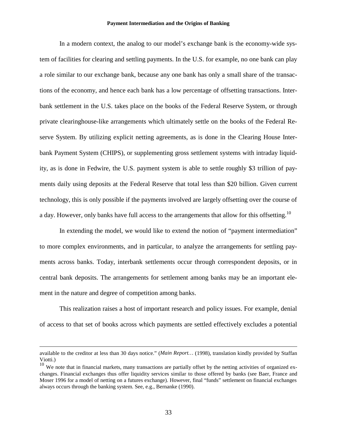In a modern context, the analog to our model's exchange bank is the economy-wide system of facilities for clearing and settling payments. In the U.S. for example, no one bank can play a role similar to our exchange bank, because any one bank has only a small share of the transactions of the economy, and hence each bank has a low percentage of offsetting transactions. Interbank settlement in the U.S. takes place on the books of the Federal Reserve System, or through private clearinghouse-like arrangements which ultimately settle on the books of the Federal Reserve System. By utilizing explicit netting agreements, as is done in the Clearing House Interbank Payment System (CHIPS), or supplementing gross settlement systems with intraday liquidity, as is done in Fedwire, the U.S. payment system is able to settle roughly \$3 trillion of payments daily using deposits at the Federal Reserve that total less than \$20 billion. Given current technology, this is only possible if the payments involved are largely offsetting over the course of a day. However, only banks have full access to the arrangements that allow for this offsetting.<sup>10</sup>

In extending the model, we would like to extend the notion of "payment intermediation" to more complex environments, and in particular, to analyze the arrangements for settling payments across banks. Today, interbank settlements occur through correspondent deposits, or in central bank deposits. The arrangements for settlement among banks may be an important element in the nature and degree of competition among banks.

This realization raises a host of important research and policy issues. For example, denial of access to that set of books across which payments are settled effectively excludes a potential

 $\overline{a}$ 

available to the creditor at less than 30 days notice." (*Main Report…* (1998), translation kindly provided by Staffan Viotti.)

<sup>&</sup>lt;sup>10</sup> We note that in financial markets, many transactions are partially offset by the netting activities of organized exchanges. Financial exchanges thus offer liquidity services similar to those offered by banks (see Baer, France and Moser 1996 for a model of netting on a futures exchange). However, final "funds" settlement on financial exchanges always occurs through the banking system. See, e.g., Bernanke (1990).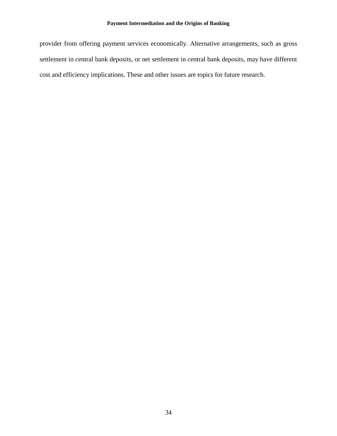provider from offering payment services economically. Alternative arrangements, such as gross settlement in central bank deposits, or net settlement in central bank deposits, may have different cost and efficiency implications. These and other issues are topics for future research.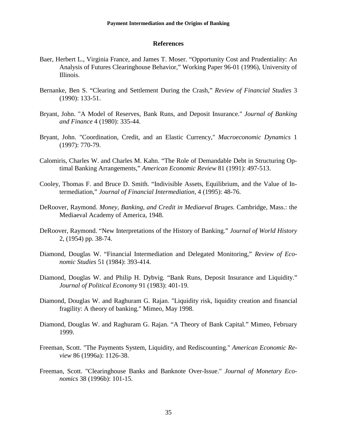#### **References**

- Baer, Herbert L., Virginia France, and James T. Moser. "Opportunity Cost and Prudentiality: An Analysis of Futures Clearinghouse Behavior," Working Paper 96-01 (1996), University of Illinois.
- Bernanke, Ben S. "Clearing and Settlement During the Crash," *Review of Financial Studies* 3 (1990): 133-51.
- Bryant, John. "A Model of Reserves, Bank Runs, and Deposit Insurance." *Journal of Banking and Finance* 4 (1980): 335-44.
- Bryant, John. "Coordination, Credit, and an Elastic Currency," *Macroeconomic Dynamics* 1 (1997): 770-79.
- Calomiris, Charles W. and Charles M. Kahn. "The Role of Demandable Debt in Structuring Optimal Banking Arrangements," *American Economic Review* 81 (1991): 497-513.
- Cooley, Thomas F. and Bruce D. Smith. "Indivisible Assets, Equilibrium, and the Value of Intermediation," *Journal of Financial Intermediation*, 4 (1995): 48-76.
- DeRoover, Raymond. *Money, Banking, and Credit in Mediaeval Bruges*. Cambridge, Mass.: the Mediaeval Academy of America, 1948.
- DeRoover, Raymond. "New Interpretations of the History of Banking." *Journal of World History* 2, (1954) pp. 38-74.
- Diamond, Douglas W. "Financial Intermediation and Delegated Monitoring," *Review of Economic Studies* 51 (1984): 393-414.
- Diamond, Douglas W. and Philip H. Dybvig. "Bank Runs, Deposit Insurance and Liquidity." *Journal of Political Economy* 91 (1983): 401-19.
- Diamond, Douglas W. and Raghuram G. Rajan. "Liquidity risk, liquidity creation and financial fragility: A theory of banking." Mimeo, May 1998.
- Diamond, Douglas W. and Raghuram G. Rajan. "A Theory of Bank Capital." Mimeo, February 1999.
- Freeman, Scott. "The Payments System, Liquidity, and Rediscounting." *American Economic Review* 86 (1996a): 1126-38.
- Freeman, Scott. "Clearinghouse Banks and Banknote Over-Issue." *Journal of Monetary Economics* 38 (1996b): 101-15.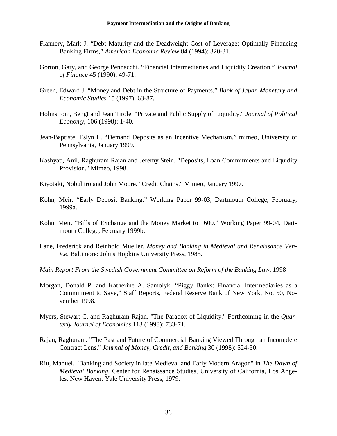- Flannery, Mark J. "Debt Maturity and the Deadweight Cost of Leverage: Optimally Financing Banking Firms," *American Economic Review* 84 (1994): 320-31.
- Gorton, Gary, and George Pennacchi. "Financial Intermediaries and Liquidity Creation," *Journal of Finance* 45 (1990): 49-71.
- Green, Edward J. "Money and Debt in the Structure of Payments," *Bank of Japan Monetary and Economic Studies* 15 (1997): 63-87*.*
- Holmström, Bengt and Jean Tirole. "Private and Public Supply of Liquidity." *Journal of Political Economy*, 106 (1998): 1-40.
- Jean-Baptiste, Eslyn L. "Demand Deposits as an Incentive Mechanism," mimeo, University of Pennsylvania, January 1999.
- Kashyap, Anil, Raghuram Rajan and Jeremy Stein. "Deposits, Loan Commitments and Liquidity Provision." Mimeo, 1998.
- Kiyotaki, Nobuhiro and John Moore. "Credit Chains." Mimeo, January 1997.
- Kohn, Meir. "Early Deposit Banking." Working Paper 99-03, Dartmouth College, February, 1999a.
- Kohn, Meir. "Bills of Exchange and the Money Market to 1600." Working Paper 99-04, Dartmouth College, February 1999b.
- Lane, Frederick and Reinhold Mueller. *Money and Banking in Medieval and Renaissance Venice*. Baltimore: Johns Hopkins University Press, 1985.
- *Main Report From the Swedish Government Committee on Reform of the Banking Law*, 1998
- Morgan, Donald P. and Katherine A. Samolyk. "Piggy Banks: Financial Intermediaries as a Commitment to Save," Staff Reports, Federal Reserve Bank of New York, No. 50, November 1998.
- Myers, Stewart C. and Raghuram Rajan. "The Paradox of Liquidity." Forthcoming in the *Quarterly Journal of Economics* 113 (1998): 733-71.
- Rajan, Raghuram. "The Past and Future of Commercial Banking Viewed Through an Incomplete Contract Lens." *Journal of Money, Credit, and Banking* 30 (1998): 524-50.
- Riu, Manuel. "Banking and Society in late Medieval and Early Modern Aragon" in *The Dawn of Medieval Banking.* Center for Renaissance Studies, University of California, Los Angeles. New Haven: Yale University Press, 1979.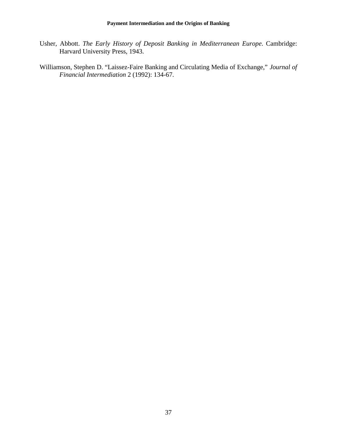- Usher, Abbott. *The Early History of Deposit Banking in Mediterranean Europe*. Cambridge: Harvard University Press, 1943.
- Williamson, Stephen D. "Laissez-Faire Banking and Circulating Media of Exchange," *Journal of Financial Intermediation* 2 (1992): 134-67.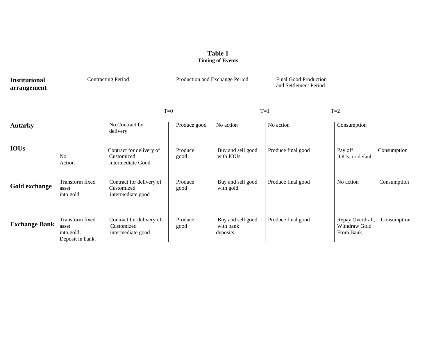#### **Table 1 Timing of Events**

| <b>Institutional</b><br>arrangement |                                                            | <b>Contracting Period</b>                                   | Production and Exchange Period |                                            | <b>Final Good Production</b><br>and Settlement Period |                                                |             |
|-------------------------------------|------------------------------------------------------------|-------------------------------------------------------------|--------------------------------|--------------------------------------------|-------------------------------------------------------|------------------------------------------------|-------------|
|                                     |                                                            | $T=0$                                                       |                                |                                            | $T=1$                                                 | $T=2$                                          |             |
| <b>Autarky</b>                      |                                                            | No Contract for<br>delivery                                 | Produce good                   | No action                                  | No action                                             | Consumption                                    |             |
| <b>IOUs</b>                         | N <sub>o</sub><br>Action                                   | Contract for delivery of<br>Customized<br>intermediate Good | Produce<br>good                | Buy and sell good<br>with IOUs             | Produce final good                                    | Pay off<br>IOU <sub>s</sub> , or default       | Consumption |
| Gold exchange                       | Transform fixed<br>asset<br>into gold                      | Contract for delivery of<br>Customized<br>intermediate good | Produce<br>good                | Buy and sell good<br>with gold             | Produce final good                                    | No action                                      | Consumption |
| <b>Exchange Bank</b>                | Transform fixed<br>asset<br>into gold;<br>Deposit in bank. | Contract for delivery of<br>Customized<br>intermediate good | Produce<br>good                | Buy and sell good<br>with bank<br>deposits | Produce final good                                    | Repay Overdraft,<br>Withdraw Gold<br>From Bank | Consumption |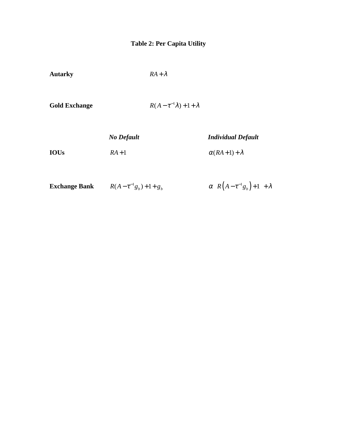## **Table 2: Per Capita Utility**

| Autarky |  |
|---------|--|
|         |  |

 $RA + \lambda$ 

**Gold Exchange**  $R(A - \tau^{-1}\lambda) + 1 + \lambda$ 

|             | <b>No Default</b> | <b>Individual Default</b> |
|-------------|-------------------|---------------------------|
| <b>IOUs</b> | $RA+1$            | $\alpha(RA+1)+\lambda$    |

| $R(A-\tau^{-1}g_h)+1+g_h$<br><b>Exchange Bank</b> | $\alpha \left[ R \left( A - \tau^{-1} g_b \right) + 1 \right] + \lambda$ |
|---------------------------------------------------|--------------------------------------------------------------------------|
|---------------------------------------------------|--------------------------------------------------------------------------|